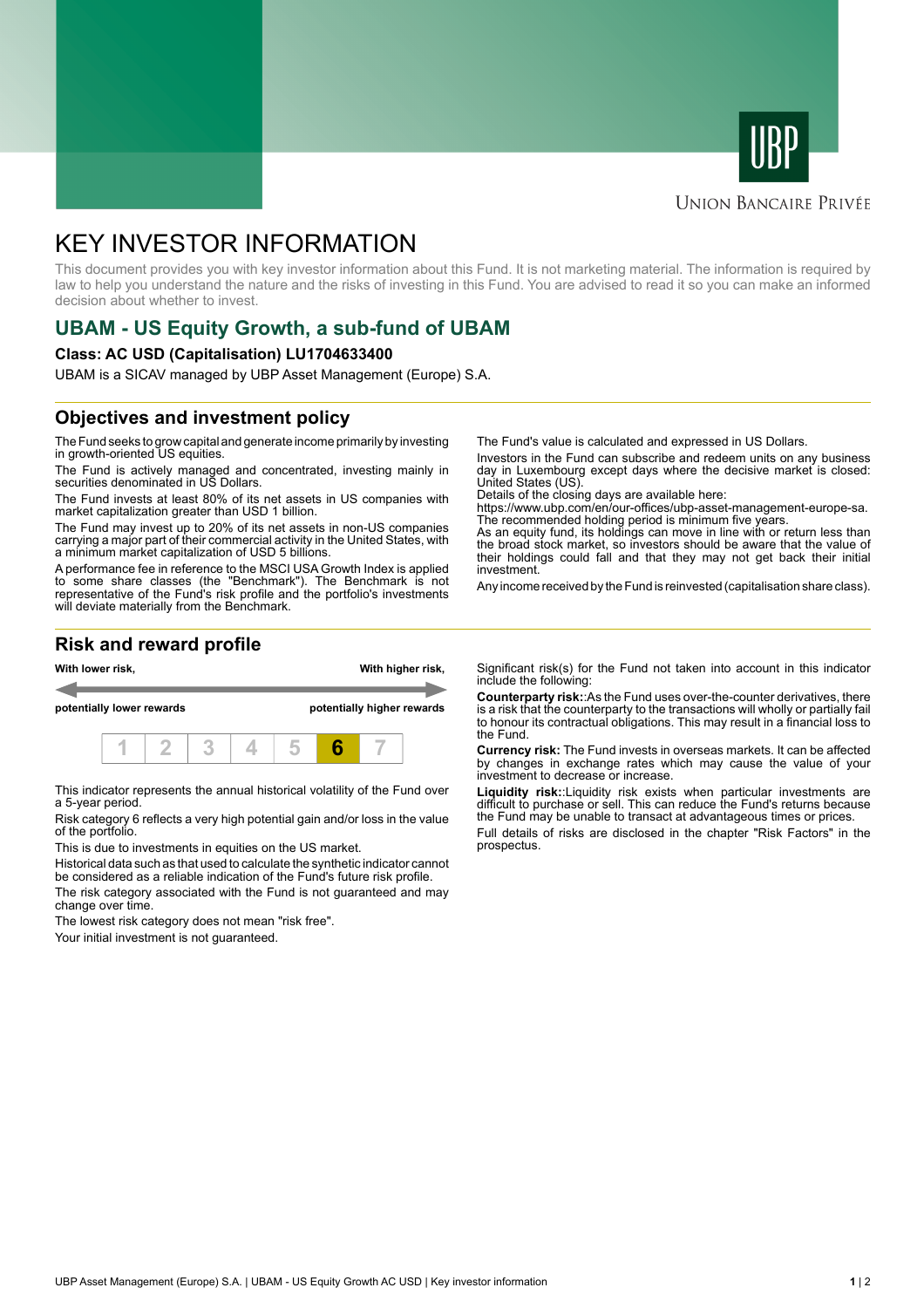



### **UNION BANCAIRE PRIVÉE**

# KEY INVESTOR INFORMATION

This document provides you with key investor information about this Fund. It is not marketing material. The information is required by law to help you understand the nature and the risks of investing in this Fund. You are advised to read it so you can make an informed decision about whether to invest.

# **UBAM - US Equity Growth, a sub-fund of UBAM**

#### **Class: AC USD (Capitalisation) LU1704633400**

UBAM is a SICAV managed by UBP Asset Management (Europe) S.A.

# **Objectives and investment policy**

The Fund seeks to grow capital and generate income primarily by investing in growth-oriented US equities.

The Fund is actively managed and concentrated, investing mainly in securities denominated in US Dollars.

The Fund invests at least 80% of its net assets in US companies with market capitalization greater than USD 1 billion.

The Fund may invest up to 20% of its net assets in non-US companies carrying a major part of their commercial activity in the United States, with a minimum market capitalization of USD 5 billions.

A performance fee in reference to the MSCI USA Growth Index is applied to some share classes (the "Benchmark"). The Benchmark is not representative of the Fund's risk profile and the portfolio's investments will deviate materially from the Benchmark.

The Fund's value is calculated and expressed in US Dollars.

Investors in the Fund can subscribe and redeem units on any business day in Luxembourg except days where the decisive market is closed: United States (US).

Details of the closing days are available here:

https://www.ubp.com/en/our-offices/ubp-asset-management-europe-sa. The recommended holding period is minimum five years.

As an equity fund, its holdings can move in line with or return less than the broad stock market, so investors should be aware that the value of their holdings could fall and that they may not get back their initial investment.

Any income received by the Fund is reinvested (capitalisation share class).

### **Risk and reward profile**



This indicator represents the annual historical volatility of the Fund over a 5-year period.

Risk category 6 reflects a very high potential gain and/or loss in the value of the portfolio.

This is due to investments in equities on the US market.

Historical data such as that used to calculate the synthetic indicator cannot be considered as a reliable indication of the Fund's future risk profile. The risk category associated with the Fund is not guaranteed and may change over time.

The lowest risk category does not mean "risk free".

Your initial investment is not guaranteed.

Significant risk(s) for the Fund not taken into account in this indicator include the following:

**Counterparty risk:**:As the Fund uses over-the-counter derivatives, there is a risk that the counterparty to the transactions will wholly or partially fail to honour its contractual obligations. This may result in a financial loss to the Fund.

**Currency risk:** The Fund invests in overseas markets. It can be affected by changes in exchange rates which may cause the value of your investment to decrease or increase.

**Liquidity risk:**:Liquidity risk exists when particular investments are difficult to purchase or sell. This can reduce the Fund's returns because the Fund may be unable to transact at advantageous times or prices.

Full details of risks are disclosed in the chapter "Risk Factors" in the prospectus.